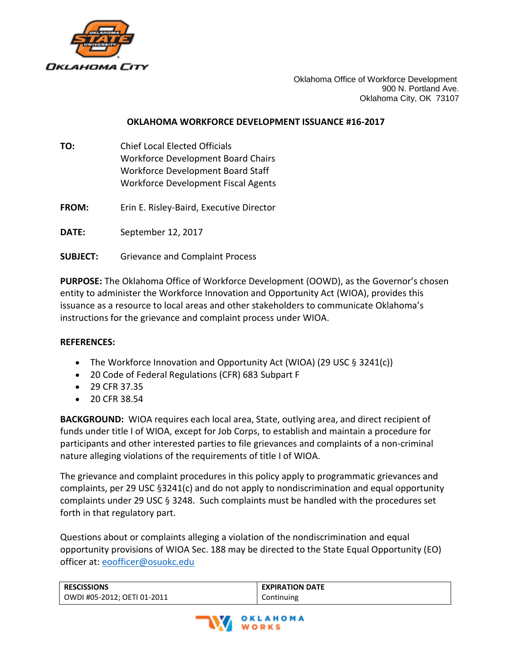

Oklahoma Office of Workforce Development 900 N. Portland Ave. Oklahoma City, OK 73107

## **OKLAHOMA WORKFORCE DEVELOPMENT ISSUANCE #16-2017**

- **TO:** Chief Local Elected Officials Workforce Development Board Chairs Workforce Development Board Staff Workforce Development Fiscal Agents
- **FROM:** Erin E. Risley-Baird, Executive Director

**DATE:** September 12, 2017

**SUBJECT:** Grievance and Complaint Process

**PURPOSE:** The Oklahoma Office of Workforce Development (OOWD), as the Governor's chosen entity to administer the Workforce Innovation and Opportunity Act (WIOA), provides this issuance as a resource to local areas and other stakeholders to communicate Oklahoma's instructions for the grievance and complaint process under WIOA.

## **REFERENCES:**

- The Workforce Innovation and Opportunity Act (WIOA) (29 USC  $\S$  3241(c))
- 20 Code of Federal Regulations (CFR) 683 Subpart F
- 29 CFR 37.35
- 20 CFR 38.54

**BACKGROUND:** WIOA requires each local area, State, outlying area, and direct recipient of funds under title I of WIOA, except for Job Corps, to establish and maintain a procedure for participants and other interested parties to file grievances and complaints of a non-criminal nature alleging violations of the requirements of title I of WIOA.

The grievance and complaint procedures in this policy apply to programmatic grievances and complaints, per 29 USC §3241(c) and do not apply to nondiscrimination and equal opportunity complaints under 29 USC § 3248. Such complaints must be handled with the procedures set forth in that regulatory part.

Questions about or complaints alleging a violation of the nondiscrimination and equal opportunity provisions of WIOA Sec. 188 may be directed to the State Equal Opportunity (EO) officer at: [eoofficer@osuokc.edu](mailto:eoofficer@osuokc.edu)

| <b>RESCISSIONS</b>          | <b>EXPIRATION DATE</b> |
|-----------------------------|------------------------|
| OWDI #05-2012; OETI 01-2011 | Continuing             |

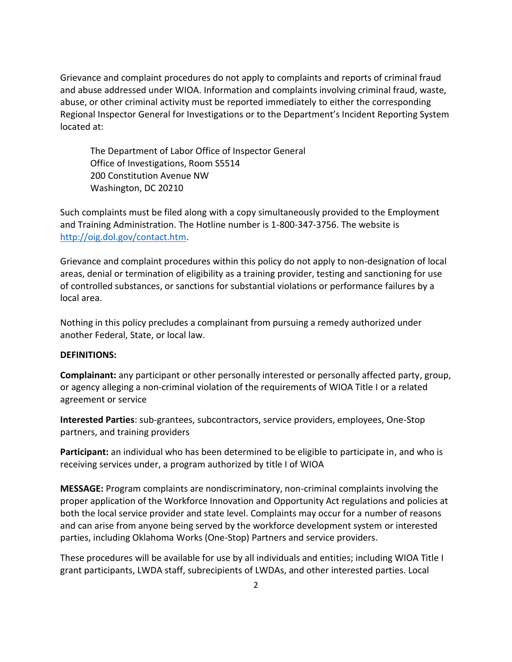Grievance and complaint procedures do not apply to complaints and reports of criminal fraud and abuse addressed under WIOA. Information and complaints involving criminal fraud, waste, abuse, or other criminal activity must be reported immediately to either the corresponding Regional Inspector General for Investigations or to the Department's Incident Reporting System located at:

The Department of Labor Office of Inspector General Office of Investigations, Room S5514 200 Constitution Avenue NW Washington, DC 20210

Such complaints must be filed along with a copy simultaneously provided to the Employment and Training Administration. The Hotline number is 1-800-347-3756. The website is [http://oig.dol.gov/contact.htm.](http://oig.dol.gov/contact.htm)

Grievance and complaint procedures within this policy do not apply to non-designation of local areas, denial or termination of eligibility as a training provider, testing and sanctioning for use of controlled substances, or sanctions for substantial violations or performance failures by a local area.

Nothing in this policy precludes a complainant from pursuing a remedy authorized under another Federal, State, or local law.

## **DEFINITIONS:**

**Complainant:** any participant or other personally interested or personally affected party, group, or agency alleging a non-criminal violation of the requirements of WIOA Title I or a related agreement or service

**Interested Parties**: sub-grantees, subcontractors, service providers, employees, One-Stop partners, and training providers

**Participant:** an individual who has been determined to be eligible to participate in, and who is receiving services under, a program authorized by title I of WIOA

**MESSAGE:** Program complaints are nondiscriminatory, non-criminal complaints involving the proper application of the Workforce Innovation and Opportunity Act regulations and policies at both the local service provider and state level. Complaints may occur for a number of reasons and can arise from anyone being served by the workforce development system or interested parties, including Oklahoma Works (One-Stop) Partners and service providers.

These procedures will be available for use by all individuals and entities; including WIOA Title I grant participants, LWDA staff, subrecipients of LWDAs, and other interested parties. Local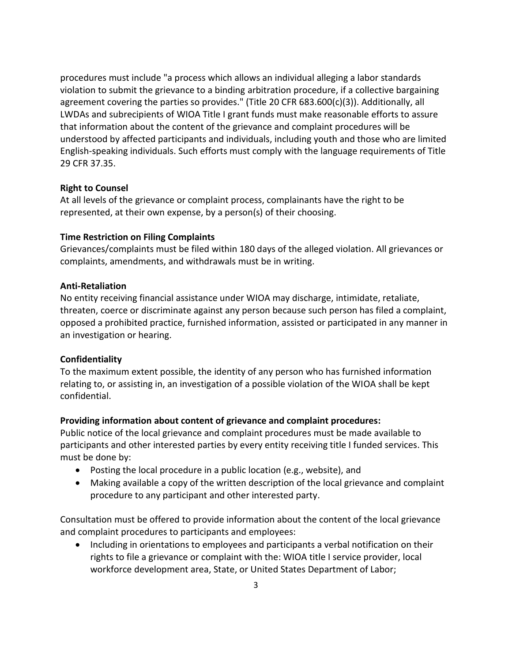procedures must include "a process which allows an individual alleging a labor standards violation to submit the grievance to a binding arbitration procedure, if a collective bargaining agreement covering the parties so provides." (Title 20 CFR 683.600(c)(3)). Additionally, all LWDAs and subrecipients of WIOA Title I grant funds must make reasonable efforts to assure that information about the content of the grievance and complaint procedures will be understood by affected participants and individuals, including youth and those who are limited English-speaking individuals. Such efforts must comply with the language requirements of Title 29 CFR 37.35.

### **Right to Counsel**

At all levels of the grievance or complaint process, complainants have the right to be represented, at their own expense, by a person(s) of their choosing.

### **Time Restriction on Filing Complaints**

Grievances/complaints must be filed within 180 days of the alleged violation. All grievances or complaints, amendments, and withdrawals must be in writing.

#### **Anti-Retaliation**

No entity receiving financial assistance under WIOA may discharge, intimidate, retaliate, threaten, coerce or discriminate against any person because such person has filed a complaint, opposed a prohibited practice, furnished information, assisted or participated in any manner in an investigation or hearing.

## **Confidentiality**

To the maximum extent possible, the identity of any person who has furnished information relating to, or assisting in, an investigation of a possible violation of the WIOA shall be kept confidential.

## **Providing information about content of grievance and complaint procedures:**

Public notice of the local grievance and complaint procedures must be made available to participants and other interested parties by every entity receiving title I funded services. This must be done by:

- Posting the local procedure in a public location (e.g., website), and
- Making available a copy of the written description of the local grievance and complaint procedure to any participant and other interested party.

Consultation must be offered to provide information about the content of the local grievance and complaint procedures to participants and employees:

• Including in orientations to employees and participants a verbal notification on their rights to file a grievance or complaint with the: WIOA title I service provider, local workforce development area, State, or United States Department of Labor;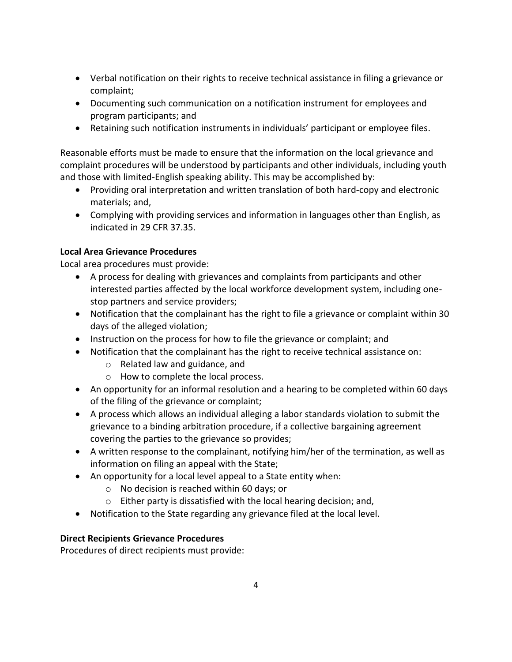- Verbal notification on their rights to receive technical assistance in filing a grievance or complaint;
- Documenting such communication on a notification instrument for employees and program participants; and
- Retaining such notification instruments in individuals' participant or employee files.

Reasonable efforts must be made to ensure that the information on the local grievance and complaint procedures will be understood by participants and other individuals, including youth and those with limited-English speaking ability. This may be accomplished by:

- Providing oral interpretation and written translation of both hard-copy and electronic materials; and,
- Complying with providing services and information in languages other than English, as indicated in 29 CFR 37.35.

# **Local Area Grievance Procedures**

Local area procedures must provide:

- A process for dealing with grievances and complaints from participants and other interested parties affected by the local workforce development system, including onestop partners and service providers;
- Notification that the complainant has the right to file a grievance or complaint within 30 days of the alleged violation;
- Instruction on the process for how to file the grievance or complaint; and
- Notification that the complainant has the right to receive technical assistance on:
	- o Related law and guidance, and
	- o How to complete the local process.
- An opportunity for an informal resolution and a hearing to be completed within 60 days of the filing of the grievance or complaint;
- A process which allows an individual alleging a labor standards violation to submit the grievance to a binding arbitration procedure, if a collective bargaining agreement covering the parties to the grievance so provides;
- A written response to the complainant, notifying him/her of the termination, as well as information on filing an appeal with the State;
- An opportunity for a local level appeal to a State entity when:
	- o No decision is reached within 60 days; or
	- o Either party is dissatisfied with the local hearing decision; and,
- Notification to the State regarding any grievance filed at the local level.

# **Direct Recipients Grievance Procedures**

Procedures of direct recipients must provide: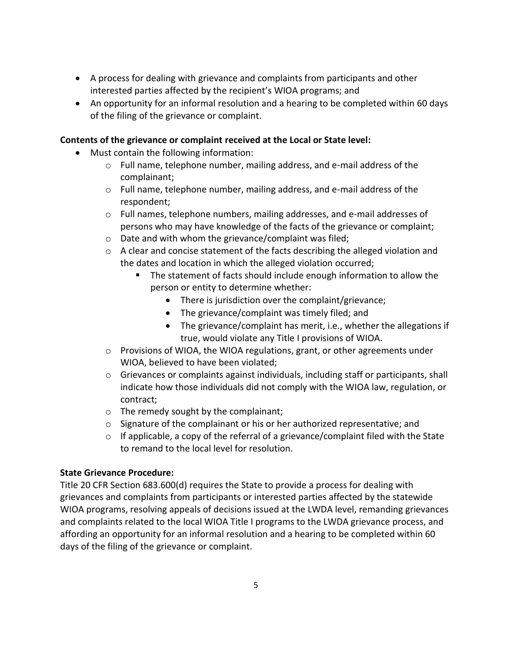- A process for dealing with grievance and complaints from participants and other interested parties affected by the recipient's WIOA programs; and
- An opportunity for an informal resolution and a hearing to be completed within 60 days of the filing of the grievance or complaint.

## **Contents of the grievance or complaint received at the Local or State level:**

- Must contain the following information:
	- o Full name, telephone number, mailing address, and e-mail address of the complainant;
	- $\circ$  Full name, telephone number, mailing address, and e-mail address of the respondent;
	- o Full names, telephone numbers, mailing addresses, and e-mail addresses of persons who may have knowledge of the facts of the grievance or complaint;
	- o Date and with whom the grievance/complaint was filed;
	- o A clear and concise statement of the facts describing the alleged violation and the dates and location in which the alleged violation occurred;
		- The statement of facts should include enough information to allow the person or entity to determine whether:
			- There is jurisdiction over the complaint/grievance;
			- The grievance/complaint was timely filed; and
			- The grievance/complaint has merit, i.e., whether the allegations if true, would violate any Title I provisions of WIOA.
	- $\circ$  Provisions of WIOA, the WIOA regulations, grant, or other agreements under WIOA, believed to have been violated;
	- $\circ$  Grievances or complaints against individuals, including staff or participants, shall indicate how those individuals did not comply with the WIOA law, regulation, or contract;
	- o The remedy sought by the complainant;
	- o Signature of the complainant or his or her authorized representative; and
	- o If applicable, a copy of the referral of a grievance/complaint filed with the State to remand to the local level for resolution.

## **State Grievance Procedure:**

Title 20 CFR Section 683.600(d) requires the State to provide a process for dealing with grievances and complaints from participants or interested parties affected by the statewide WIOA programs, resolving appeals of decisions issued at the LWDA level, remanding grievances and complaints related to the local WIOA Title I programs to the LWDA grievance process, and affording an opportunity for an informal resolution and a hearing to be completed within 60 days of the filing of the grievance or complaint.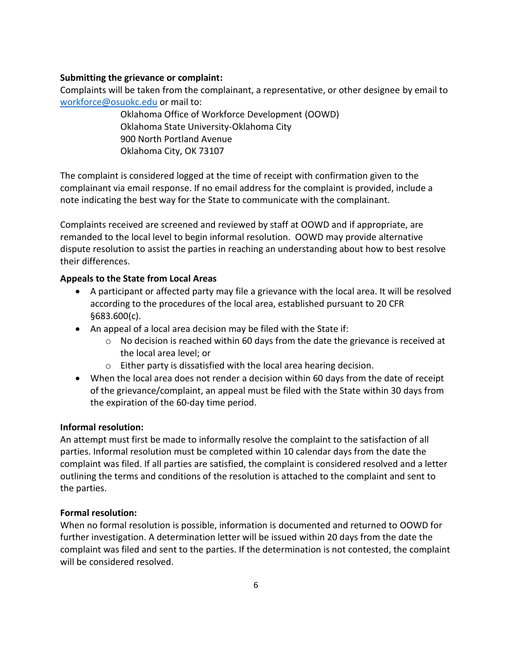## **Submitting the grievance or complaint:**

Complaints will be taken from the complainant, a representative, or other designee by email to [workforce@osuokc.edu](mailto:workforce@osuokc.edu) or mail to:

> Oklahoma Office of Workforce Development (OOWD) Oklahoma State University-Oklahoma City 900 North Portland Avenue Oklahoma City, OK 73107

The complaint is considered logged at the time of receipt with confirmation given to the complainant via email response. If no email address for the complaint is provided, include a note indicating the best way for the State to communicate with the complainant.

Complaints received are screened and reviewed by staff at OOWD and if appropriate, are remanded to the local level to begin informal resolution. OOWD may provide alternative dispute resolution to assist the parties in reaching an understanding about how to best resolve their differences.

### **Appeals to the State from Local Areas**

- A participant or affected party may file a grievance with the local area. It will be resolved according to the procedures of the local area, established pursuant to 20 CFR §683.600(c).
- An appeal of a local area decision may be filed with the State if:
	- o No decision is reached within 60 days from the date the grievance is received at the local area level; or
	- o Either party is dissatisfied with the local area hearing decision.
- When the local area does not render a decision within 60 days from the date of receipt of the grievance/complaint, an appeal must be filed with the State within 30 days from the expiration of the 60-day time period.

## **Informal resolution:**

An attempt must first be made to informally resolve the complaint to the satisfaction of all parties. Informal resolution must be completed within 10 calendar days from the date the complaint was filed. If all parties are satisfied, the complaint is considered resolved and a letter outlining the terms and conditions of the resolution is attached to the complaint and sent to the parties.

#### **Formal resolution:**

When no formal resolution is possible, information is documented and returned to OOWD for further investigation. A determination letter will be issued within 20 days from the date the complaint was filed and sent to the parties. If the determination is not contested, the complaint will be considered resolved.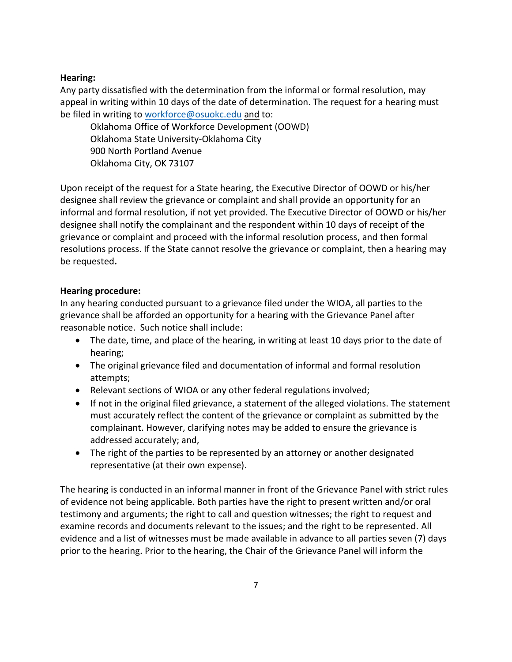## **Hearing:**

Any party dissatisfied with the determination from the informal or formal resolution, may appeal in writing within 10 days of the date of determination. The request for a hearing must be filed in writing to [workforce@osuokc.edu](mailto:workforce@osuokc.edu) and to:

Oklahoma Office of Workforce Development (OOWD) Oklahoma State University-Oklahoma City 900 North Portland Avenue Oklahoma City, OK 73107

Upon receipt of the request for a State hearing, the Executive Director of OOWD or his/her designee shall review the grievance or complaint and shall provide an opportunity for an informal and formal resolution, if not yet provided. The Executive Director of OOWD or his/her designee shall notify the complainant and the respondent within 10 days of receipt of the grievance or complaint and proceed with the informal resolution process, and then formal resolutions process. If the State cannot resolve the grievance or complaint, then a hearing may be requested**.**

### **Hearing procedure:**

In any hearing conducted pursuant to a grievance filed under the WIOA, all parties to the grievance shall be afforded an opportunity for a hearing with the Grievance Panel after reasonable notice. Such notice shall include:

- The date, time, and place of the hearing, in writing at least 10 days prior to the date of hearing;
- The original grievance filed and documentation of informal and formal resolution attempts;
- Relevant sections of WIOA or any other federal regulations involved;
- If not in the original filed grievance, a statement of the alleged violations. The statement must accurately reflect the content of the grievance or complaint as submitted by the complainant. However, clarifying notes may be added to ensure the grievance is addressed accurately; and,
- The right of the parties to be represented by an attorney or another designated representative (at their own expense).

The hearing is conducted in an informal manner in front of the Grievance Panel with strict rules of evidence not being applicable. Both parties have the right to present written and/or oral testimony and arguments; the right to call and question witnesses; the right to request and examine records and documents relevant to the issues; and the right to be represented. All evidence and a list of witnesses must be made available in advance to all parties seven (7) days prior to the hearing. Prior to the hearing, the Chair of the Grievance Panel will inform the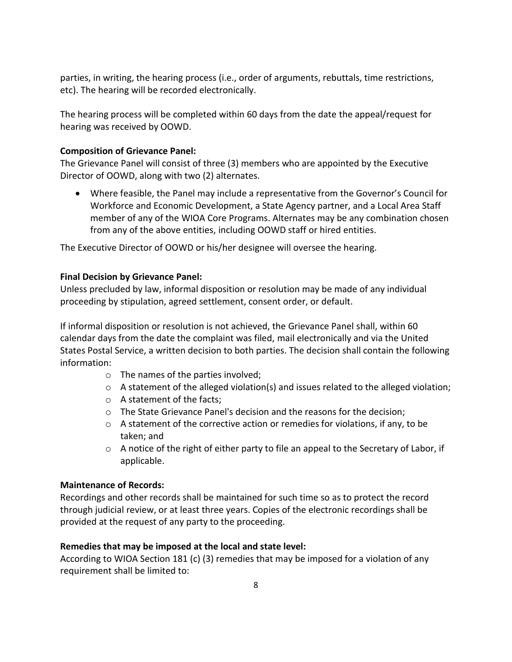parties, in writing, the hearing process (i.e., order of arguments, rebuttals, time restrictions, etc). The hearing will be recorded electronically.

The hearing process will be completed within 60 days from the date the appeal/request for hearing was received by OOWD.

## **Composition of Grievance Panel:**

The Grievance Panel will consist of three (3) members who are appointed by the Executive Director of OOWD, along with two (2) alternates.

 Where feasible, the Panel may include a representative from the Governor's Council for Workforce and Economic Development, a State Agency partner, and a Local Area Staff member of any of the WIOA Core Programs. Alternates may be any combination chosen from any of the above entities, including OOWD staff or hired entities.

The Executive Director of OOWD or his/her designee will oversee the hearing.

## **Final Decision by Grievance Panel:**

Unless precluded by law, informal disposition or resolution may be made of any individual proceeding by stipulation, agreed settlement, consent order, or default.

If informal disposition or resolution is not achieved, the Grievance Panel shall, within 60 calendar days from the date the complaint was filed, mail electronically and via the United States Postal Service, a written decision to both parties. The decision shall contain the following information:

- o The names of the parties involved;
- $\circ$  A statement of the alleged violation(s) and issues related to the alleged violation;
- o A statement of the facts;
- o The State Grievance Panel's decision and the reasons for the decision;
- $\circ$  A statement of the corrective action or remedies for violations, if any, to be taken; and
- $\circ$  A notice of the right of either party to file an appeal to the Secretary of Labor, if applicable.

## **Maintenance of Records:**

Recordings and other records shall be maintained for such time so as to protect the record through judicial review, or at least three years. Copies of the electronic recordings shall be provided at the request of any party to the proceeding.

## **Remedies that may be imposed at the local and state level:**

According to WIOA Section 181 (c) (3) remedies that may be imposed for a violation of any requirement shall be limited to: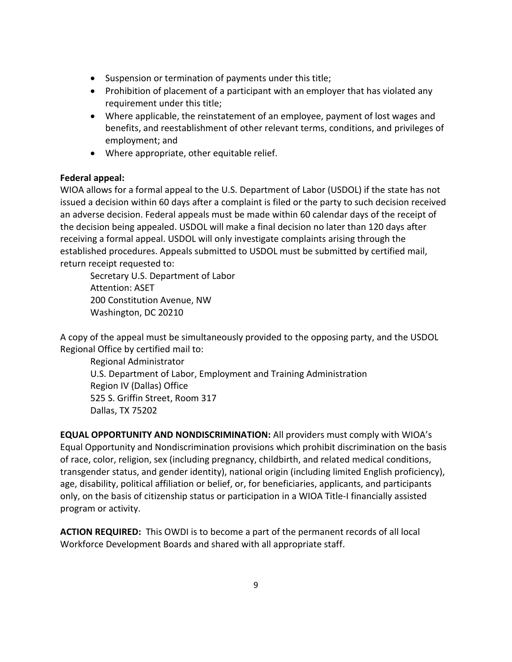- Suspension or termination of payments under this title;
- Prohibition of placement of a participant with an employer that has violated any requirement under this title;
- Where applicable, the reinstatement of an employee, payment of lost wages and benefits, and reestablishment of other relevant terms, conditions, and privileges of employment; and
- Where appropriate, other equitable relief.

# **Federal appeal:**

WIOA allows for a formal appeal to the U.S. Department of Labor (USDOL) if the state has not issued a decision within 60 days after a complaint is filed or the party to such decision received an adverse decision. Federal appeals must be made within 60 calendar days of the receipt of the decision being appealed. USDOL will make a final decision no later than 120 days after receiving a formal appeal. USDOL will only investigate complaints arising through the established procedures. Appeals submitted to USDOL must be submitted by certified mail, return receipt requested to:

Secretary U.S. Department of Labor Attention: ASET 200 Constitution Avenue, NW Washington, DC 20210

A copy of the appeal must be simultaneously provided to the opposing party, and the USDOL Regional Office by certified mail to:

Regional Administrator U.S. Department of Labor, Employment and Training Administration Region IV (Dallas) Office 525 S. Griffin Street, Room 317 Dallas, TX 75202

**EQUAL OPPORTUNITY AND NONDISCRIMINATION:** All providers must comply with WIOA's Equal Opportunity and Nondiscrimination provisions which prohibit discrimination on the basis of race, color, religion, sex (including pregnancy, childbirth, and related medical conditions, transgender status, and gender identity), national origin (including limited English proficiency), age, disability, political affiliation or belief, or, for beneficiaries, applicants, and participants only, on the basis of citizenship status or participation in a WIOA Title-I financially assisted program or activity.

**ACTION REQUIRED:** This OWDI is to become a part of the permanent records of all local Workforce Development Boards and shared with all appropriate staff.